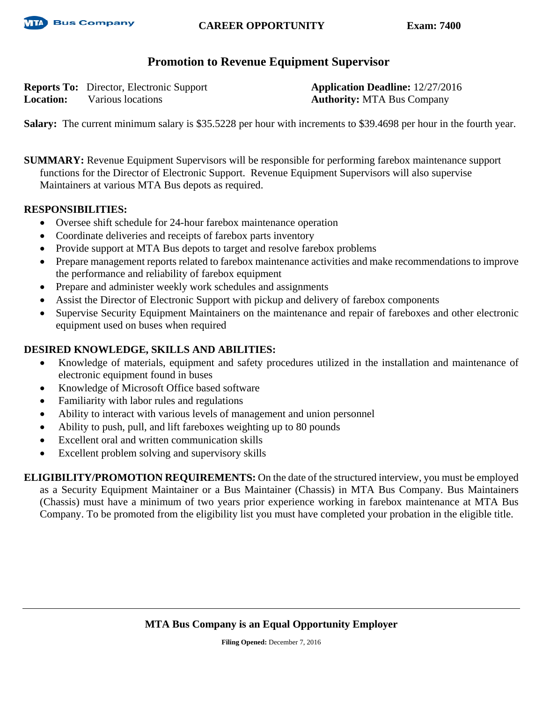

## **CAREER OPPORTUNITY Exam: 7400**

# **Promotion to Revenue Equipment Supervisor**

**Reports To:** Director, Electronic Support **Application Deadline:** 12/27/2016 **Location:** Various locations **Authority:** MTA Bus Company

**Salary:** The current minimum salary is \$35.5228 per hour with increments to \$39.4698 per hour in the fourth year.

**SUMMARY:** Revenue Equipment Supervisors will be responsible for performing farebox maintenance support functions for the Director of Electronic Support. Revenue Equipment Supervisors will also supervise Maintainers at various MTA Bus depots as required.

#### **RESPONSIBILITIES:**

- Oversee shift schedule for 24-hour farebox maintenance operation
- Coordinate deliveries and receipts of farebox parts inventory
- Provide support at MTA Bus depots to target and resolve farebox problems
- Prepare management reports related to farebox maintenance activities and make recommendations to improve the performance and reliability of farebox equipment
- Prepare and administer weekly work schedules and assignments
- Assist the Director of Electronic Support with pickup and delivery of farebox components
- Supervise Security Equipment Maintainers on the maintenance and repair of fareboxes and other electronic equipment used on buses when required

### **DESIRED KNOWLEDGE, SKILLS AND ABILITIES:**

- Knowledge of materials, equipment and safety procedures utilized in the installation and maintenance of electronic equipment found in buses
- Knowledge of Microsoft Office based software
- Familiarity with labor rules and regulations
- Ability to interact with various levels of management and union personnel
- Ability to push, pull, and lift fareboxes weighting up to 80 pounds
- Excellent oral and written communication skills
- Excellent problem solving and supervisory skills

**ELIGIBILITY/PROMOTION REQUIREMENTS:** On the date of the structured interview, you must be employed as a Security Equipment Maintainer or a Bus Maintainer (Chassis) in MTA Bus Company. Bus Maintainers (Chassis) must have a minimum of two years prior experience working in farebox maintenance at MTA Bus Company. To be promoted from the eligibility list you must have completed your probation in the eligible title.